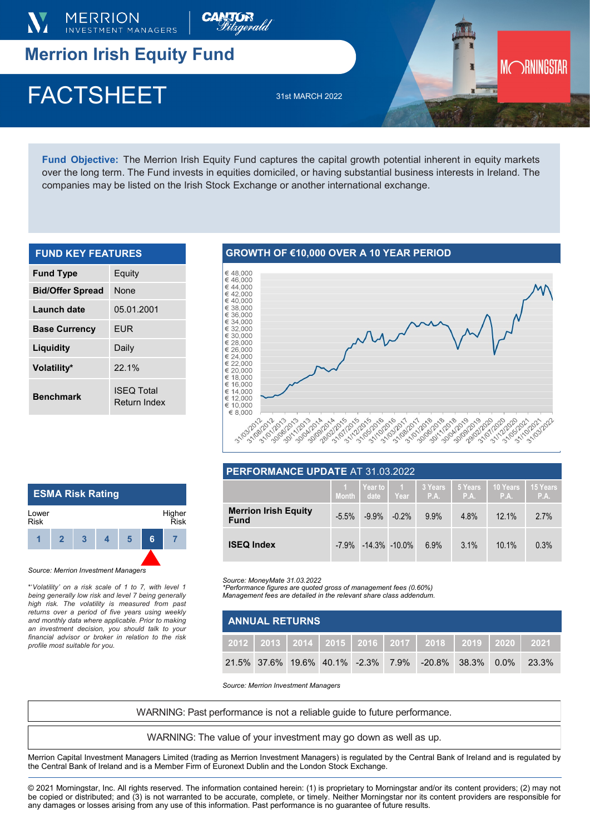

# **Merrion Irish Equity Fund**

## $\Gamma$ AUIONEEI  $\frac{31\text{st MARCH }2022}{31}$ FACTSHEET 31st MARCH 2022

**Fund Objective:** The Merrion Irish Equity Fund captures the capital growth potential inherent in equity markets over the long term. The Fund invests in equities domiciled, or having substantial business interests in Ireland. The companies may be listed on the Irish Stock Exchange or another international exchange.

**CANTOR**<br>*Sitagerald* 

| <b>FUND KEY FEATURES</b> |                                   |  |  |  |  |
|--------------------------|-----------------------------------|--|--|--|--|
| <b>Fund Type</b>         | Equity                            |  |  |  |  |
| <b>Bid/Offer Spread</b>  | <b>None</b>                       |  |  |  |  |
| Launch date              | 05.01.2001                        |  |  |  |  |
| <b>Base Currency</b>     | <b>FUR</b>                        |  |  |  |  |
| Liquidity                | Daily                             |  |  |  |  |
| Volatility*              | $221\%$                           |  |  |  |  |
| <b>Benchmark</b>         | <b>ISEQ Total</b><br>Return Index |  |  |  |  |

## **GROWTH OF €10,000 OVER A 10 YEAR PERIOD**



MORNINGSTAR

| PERFORMANCE UPDATE AT 31.03.2022           |          |                   |                              |                 |                 |                    |                  |
|--------------------------------------------|----------|-------------------|------------------------------|-----------------|-----------------|--------------------|------------------|
|                                            |          |                   | Year to 1<br>Month date Year | 3 Years<br>P.A. | 5 Years<br>P.A. | l 10 Years<br>P.A. | 15 Years<br>P.A. |
| <b>Merrion Irish Equity</b><br><b>Fund</b> | $-5.5\%$ | $-9.9%$           | $-0.2\%$                     | 9.9%            | 4.8%            | 12.1%              | 2.7%             |
| <b>ISEQ Index</b>                          | $-7.9\%$ | $-14.3\% -10.0\%$ |                              | 6.9%            | 3.1%            | 10.1%              | 0.3%             |

*Source: MoneyMate 31.03.2022*

*\*Performance figures are quoted gross of management fees (0.60%) Management fees are detailed in the relevant share class addendum.* 

| <b>ANNUAL RETURNS</b> |  |  |  |  |  |                                                                     |  |  |       |
|-----------------------|--|--|--|--|--|---------------------------------------------------------------------|--|--|-------|
|                       |  |  |  |  |  | 2012   2013   2014   2015   2016   2017   2018   2019   2020   2021 |  |  |       |
|                       |  |  |  |  |  | 21.5% 37.6% 19.6% 40.1% -2.3% 7.9% -20.8% 38.3% 0.0%                |  |  | 23.3% |

*Source: Merrion Investment Managers*

WARNING: Past performance is not a reliable guide to future performance.

WARNING: The value of your investment may go down as well as up.

Merrion Capital Investment Managers Limited (trading as Merrion Investment Managers) is regulated by the Central Bank of Ireland and is regulated by the Central Bank of Ireland and is a Member Firm of Euronext Dublin and the London Stock Exchange.

© 2021 Morningstar, Inc. All rights reserved. The information contained herein: (1) is proprietary to Morningstar and/or its content providers; (2) may not be copied or distributed; and (3) is not warranted to be accurate, complete, or timely. Neither Morningstar nor its content providers are responsible for any damages or losses arising from any use of this information. Past performance is no guarantee of future results.

#### **ESMA Risk Rating 1 2 3 4 5 6 7** Lower Risk Higher Risk

*Source: Merrion Investment Managers*

\*'*Volatility' on a risk scale of 1 to 7, with level 1 being generally low risk and level 7 being generally high risk. The volatility is measured from past returns over a period of five years using weekly and monthly data where applicable. Prior to making an investment decision, you should talk to your financial advisor or broker in relation to the risk profile most suitable for you.*